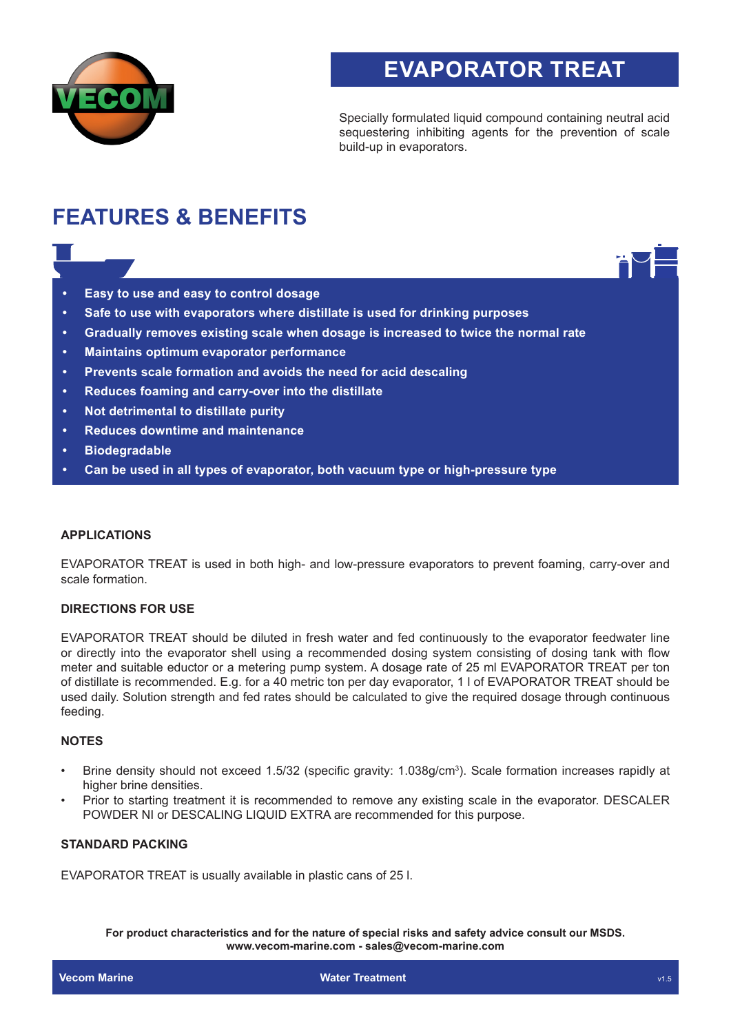

# **EVAPORATOR TREAT**

Specially formulated liquid compound containing neutral acid sequestering inhibiting agents for the prevention of scale build-up in evaporators.

# **FEATURES & BENEFITS**

- **• Easy to use and easy to control dosage**
- **• Safe to use with evaporators where distillate is used for drinking purposes**
- **• Gradually removes existing scale when dosage is increased to twice the normal rate**
- **• Maintains optimum evaporator performance**
- **• Prevents scale formation and avoids the need for acid descaling**
- **• Reduces foaming and carry-over into the distillate**
- **• Not detrimental to distillate purity**
- **• Reduces downtime and maintenance**
- **• Biodegradable**
- **• Can be used in all types of evaporator, both vacuum type or high-pressure type**

#### **APPLICATIONS**

EVAPORATOR TREAT is used in both high- and low-pressure evaporators to prevent foaming, carry-over and scale formation.

### **DIRECTIONS FOR USE**

EVAPORATOR TREAT should be diluted in fresh water and fed continuously to the evaporator feedwater line or directly into the evaporator shell using a recommended dosing system consisting of dosing tank with flow meter and suitable eductor or a metering pump system. A dosage rate of 25 ml EVAPORATOR TREAT per ton of distillate is recommended. E.g. for a 40 metric ton per day evaporator, 1 l of EVAPORATOR TREAT should be used daily. Solution strength and fed rates should be calculated to give the required dosage through continuous feeding.

#### **NOTES**

- Brine density should not exceed 1.5/32 (specific gravity: 1.038g/cm<sup>3</sup> ). Scale formation increases rapidly at higher brine densities.
- Prior to starting treatment it is recommended to remove any existing scale in the evaporator. DESCALER POWDER NI or DESCALING LIQUID EXTRA are recommended for this purpose.

#### **STANDARD PACKING**

EVAPORATOR TREAT is usually available in plastic cans of 25 l.

**For product characteristics and for the nature of special risks and safety advice consult our MSDS. www.vecom-marine.com - sales@vecom-marine.com**